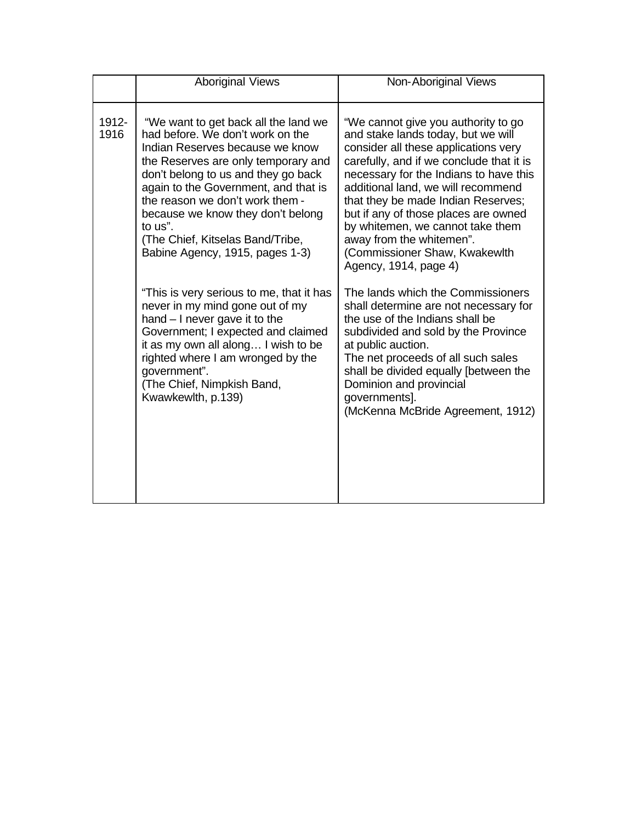|               | <b>Aboriginal Views</b>                                                                                                                                                                                                                                                                                                                                                                     | Non-Aboriginal Views                                                                                                                                                                                                                                                                                                                                                                                                                                  |
|---------------|---------------------------------------------------------------------------------------------------------------------------------------------------------------------------------------------------------------------------------------------------------------------------------------------------------------------------------------------------------------------------------------------|-------------------------------------------------------------------------------------------------------------------------------------------------------------------------------------------------------------------------------------------------------------------------------------------------------------------------------------------------------------------------------------------------------------------------------------------------------|
| 1912-<br>1916 | "We want to get back all the land we<br>had before. We don't work on the<br>Indian Reserves because we know<br>the Reserves are only temporary and<br>don't belong to us and they go back<br>again to the Government, and that is<br>the reason we don't work them -<br>because we know they don't belong<br>to us".<br>(The Chief, Kitselas Band/Tribe,<br>Babine Agency, 1915, pages 1-3) | "We cannot give you authority to go<br>and stake lands today, but we will<br>consider all these applications very<br>carefully, and if we conclude that it is<br>necessary for the Indians to have this<br>additional land, we will recommend<br>that they be made Indian Reserves;<br>but if any of those places are owned<br>by whitemen, we cannot take them<br>away from the whitemen".<br>(Commissioner Shaw, Kwakewlth<br>Agency, 1914, page 4) |
|               | "This is very serious to me, that it has<br>never in my mind gone out of my<br>hand $-1$ never gave it to the<br>Government; I expected and claimed<br>it as my own all along I wish to be<br>righted where I am wronged by the<br>government".<br>(The Chief, Nimpkish Band,<br>Kwawkewlth, p.139)                                                                                         | The lands which the Commissioners<br>shall determine are not necessary for<br>the use of the Indians shall be<br>subdivided and sold by the Province<br>at public auction.<br>The net proceeds of all such sales<br>shall be divided equally [between the<br>Dominion and provincial<br>governments].<br>(McKenna McBride Agreement, 1912)                                                                                                            |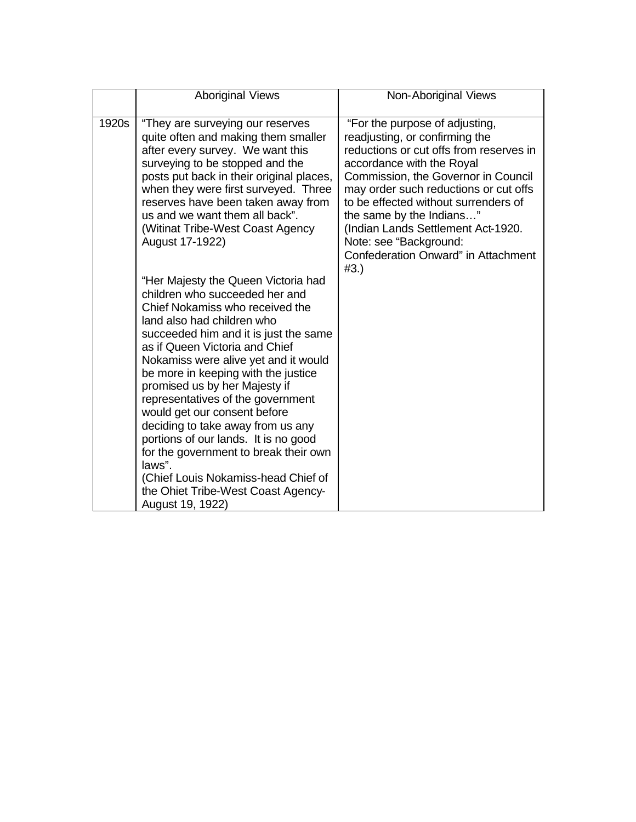|       | <b>Aboriginal Views</b>                                                                                                                                                                                                                                                                                                                                                                                                                                                                                                                                                                                                                 | Non-Aboriginal Views                                                                                                                                                                                                                                                                                                                                                                                        |
|-------|-----------------------------------------------------------------------------------------------------------------------------------------------------------------------------------------------------------------------------------------------------------------------------------------------------------------------------------------------------------------------------------------------------------------------------------------------------------------------------------------------------------------------------------------------------------------------------------------------------------------------------------------|-------------------------------------------------------------------------------------------------------------------------------------------------------------------------------------------------------------------------------------------------------------------------------------------------------------------------------------------------------------------------------------------------------------|
|       |                                                                                                                                                                                                                                                                                                                                                                                                                                                                                                                                                                                                                                         |                                                                                                                                                                                                                                                                                                                                                                                                             |
| 1920s | "They are surveying our reserves<br>quite often and making them smaller<br>after every survey. We want this<br>surveying to be stopped and the<br>posts put back in their original places,<br>when they were first surveyed. Three<br>reserves have been taken away from<br>us and we want them all back".<br>(Witinat Tribe-West Coast Agency)<br>August 17-1922)                                                                                                                                                                                                                                                                      | "For the purpose of adjusting,<br>readjusting, or confirming the<br>reductions or cut offs from reserves in<br>accordance with the Royal<br>Commission, the Governor in Council<br>may order such reductions or cut offs<br>to be effected without surrenders of<br>the same by the Indians"<br>(Indian Lands Settlement Act-1920.<br>Note: see "Background:<br>Confederation Onward" in Attachment<br>#3.) |
|       | "Her Majesty the Queen Victoria had<br>children who succeeded her and<br>Chief Nokamiss who received the<br>land also had children who<br>succeeded him and it is just the same<br>as if Queen Victoria and Chief<br>Nokamiss were alive yet and it would<br>be more in keeping with the justice<br>promised us by her Majesty if<br>representatives of the government<br>would get our consent before<br>deciding to take away from us any<br>portions of our lands. It is no good<br>for the government to break their own<br>laws".<br>(Chief Louis Nokamiss-head Chief of<br>the Ohiet Tribe-West Coast Agency-<br>August 19, 1922) |                                                                                                                                                                                                                                                                                                                                                                                                             |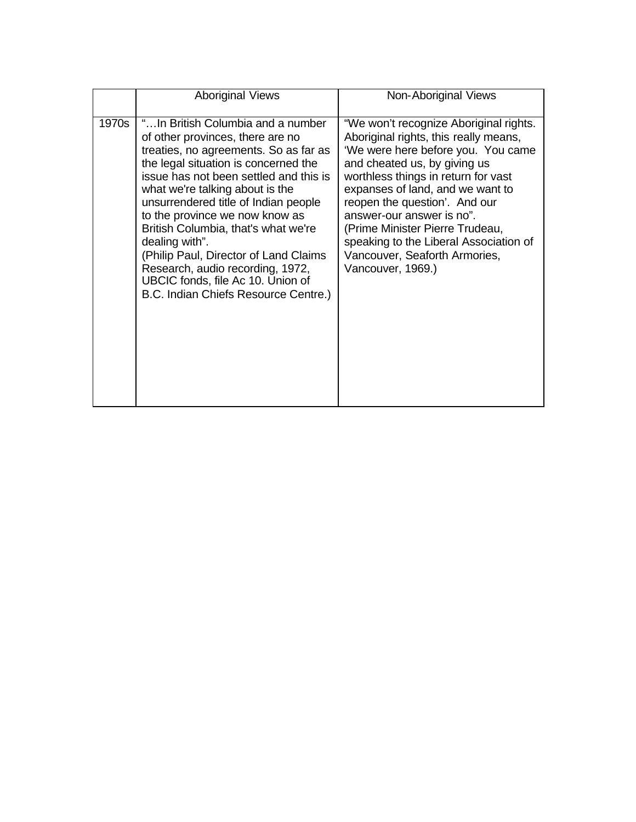|       | <b>Aboriginal Views</b>                                                                                                                                                                                                                                                                                                                                                                                                                                                                                                           | Non-Aboriginal Views                                                                                                                                                                                                                                                                                                                                                                                                              |
|-------|-----------------------------------------------------------------------------------------------------------------------------------------------------------------------------------------------------------------------------------------------------------------------------------------------------------------------------------------------------------------------------------------------------------------------------------------------------------------------------------------------------------------------------------|-----------------------------------------------------------------------------------------------------------------------------------------------------------------------------------------------------------------------------------------------------------------------------------------------------------------------------------------------------------------------------------------------------------------------------------|
| 1970s | "In British Columbia and a number<br>of other provinces, there are no<br>treaties, no agreements. So as far as<br>the legal situation is concerned the<br>issue has not been settled and this is<br>what we're talking about is the<br>unsurrendered title of Indian people<br>to the province we now know as<br>British Columbia, that's what we're<br>dealing with".<br>(Philip Paul, Director of Land Claims)<br>Research, audio recording, 1972,<br>UBCIC fonds, file Ac 10. Union of<br>B.C. Indian Chiefs Resource Centre.) | "We won't recognize Aboriginal rights.<br>Aboriginal rights, this really means,<br>'We were here before you. You came<br>and cheated us, by giving us<br>worthless things in return for vast<br>expanses of land, and we want to<br>reopen the question'. And our<br>answer-our answer is no".<br>(Prime Minister Pierre Trudeau,<br>speaking to the Liberal Association of<br>Vancouver, Seaforth Armories,<br>Vancouver, 1969.) |